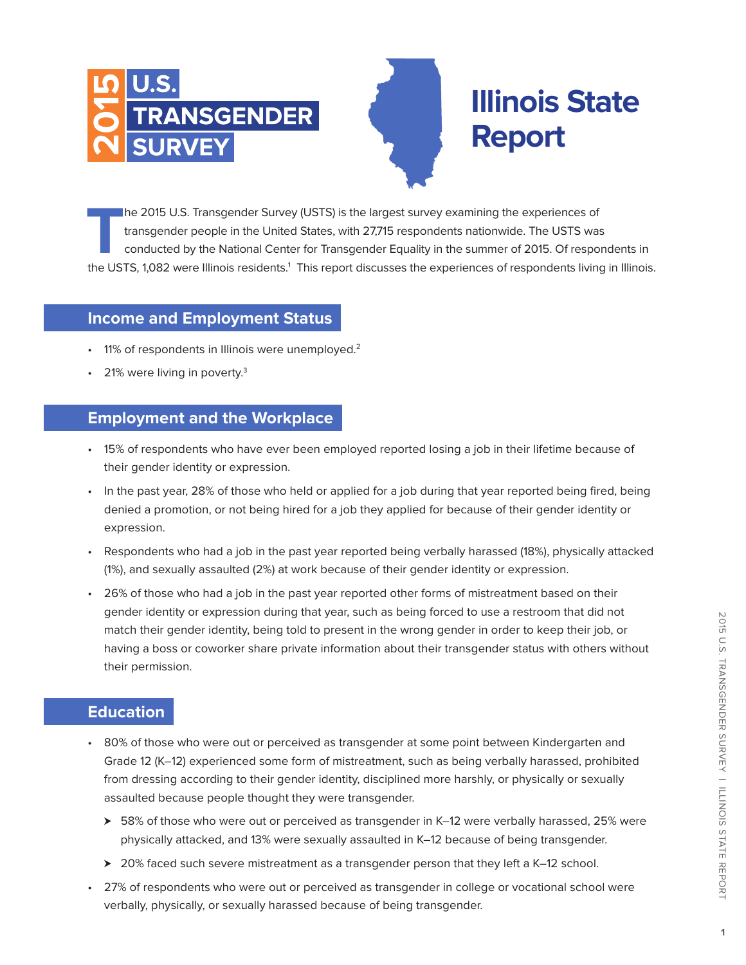



The 2015 U.S. Transgender Survey (USTS) is the largest survey examining the experiences of<br>transgender people in the United States, with 27,715 respondents nationwide. The USTS was<br>conducted by the National Center for Tran transgender people in the United States, with 27,715 respondents nationwide. The USTS was conducted by the National Center for Transgender Equality in the summer of 2015. Of respondents in the USTS, 1,082 were Illinois residents.<sup>1</sup> This report discusses the experiences of respondents living in Illinois.

# **Income and Employment Status**

- 11% of respondents in Illinois were unemployed.<sup>2</sup>
- 21% were living in poverty.<sup>3</sup>

### **Employment and the Workplace**

- 15% of respondents who have ever been employed reported losing a job in their lifetime because of their gender identity or expression.
- In the past year, 28% of those who held or applied for a job during that year reported being fired, being denied a promotion, or not being hired for a job they applied for because of their gender identity or expression.
- Respondents who had a job in the past year reported being verbally harassed (18%), physically attacked (1%), and sexually assaulted (2%) at work because of their gender identity or expression.
- 26% of those who had a job in the past year reported other forms of mistreatment based on their gender identity or expression during that year, such as being forced to use a restroom that did not match their gender identity, being told to present in the wrong gender in order to keep their job, or having a boss or coworker share private information about their transgender status with others without their permission.

### **Education**

- 80% of those who were out or perceived as transgender at some point between Kindergarten and Grade 12 (K–12) experienced some form of mistreatment, such as being verbally harassed, prohibited from dressing according to their gender identity, disciplined more harshly, or physically or sexually assaulted because people thought they were transgender.
	- $\geq$  58% of those who were out or perceived as transgender in K–12 were verbally harassed, 25% were physically attacked, and 13% were sexually assaulted in K–12 because of being transgender.
	- > 20% faced such severe mistreatment as a transgender person that they left a K–12 school.
- 27% of respondents who were out or perceived as transgender in college or vocational school were verbally, physically, or sexually harassed because of being transgender.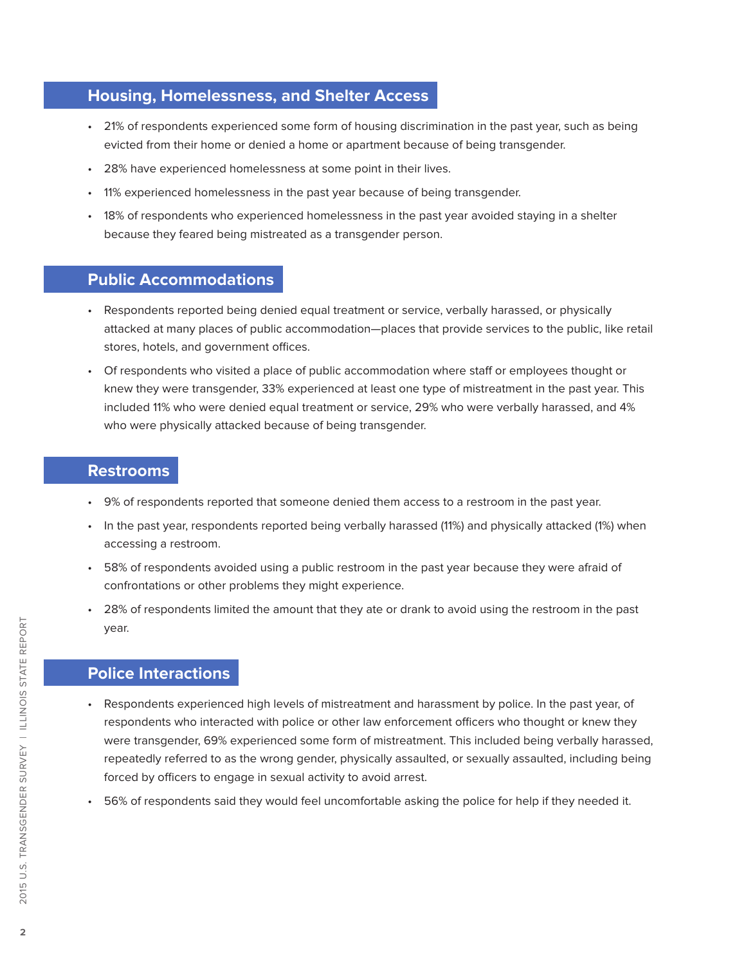# **Housing, Homelessness, and Shelter Access**

- 21% of respondents experienced some form of housing discrimination in the past year, such as being evicted from their home or denied a home or apartment because of being transgender.
- 28% have experienced homelessness at some point in their lives.
- 11% experienced homelessness in the past year because of being transgender.
- 18% of respondents who experienced homelessness in the past year avoided staying in a shelter because they feared being mistreated as a transgender person.

# **Public Accommodations**

- Respondents reported being denied equal treatment or service, verbally harassed, or physically attacked at many places of public accommodation—places that provide services to the public, like retail stores, hotels, and government offices.
- Of respondents who visited a place of public accommodation where staff or employees thought or knew they were transgender, 33% experienced at least one type of mistreatment in the past year. This included 11% who were denied equal treatment or service, 29% who were verbally harassed, and 4% who were physically attacked because of being transgender.

# **Restrooms**

- 9% of respondents reported that someone denied them access to a restroom in the past year.
- In the past year, respondents reported being verbally harassed (11%) and physically attacked (1%) when accessing a restroom.
- 58% of respondents avoided using a public restroom in the past year because they were afraid of confrontations or other problems they might experience.
- 28% of respondents limited the amount that they ate or drank to avoid using the restroom in the past year.

# **Police Interactions**

- Respondents experienced high levels of mistreatment and harassment by police. In the past year, of respondents who interacted with police or other law enforcement officers who thought or knew they were transgender, 69% experienced some form of mistreatment. This included being verbally harassed, repeatedly referred to as the wrong gender, physically assaulted, or sexually assaulted, including being forced by officers to engage in sexual activity to avoid arrest.
- 56% of respondents said they would feel uncomfortable asking the police for help if they needed it.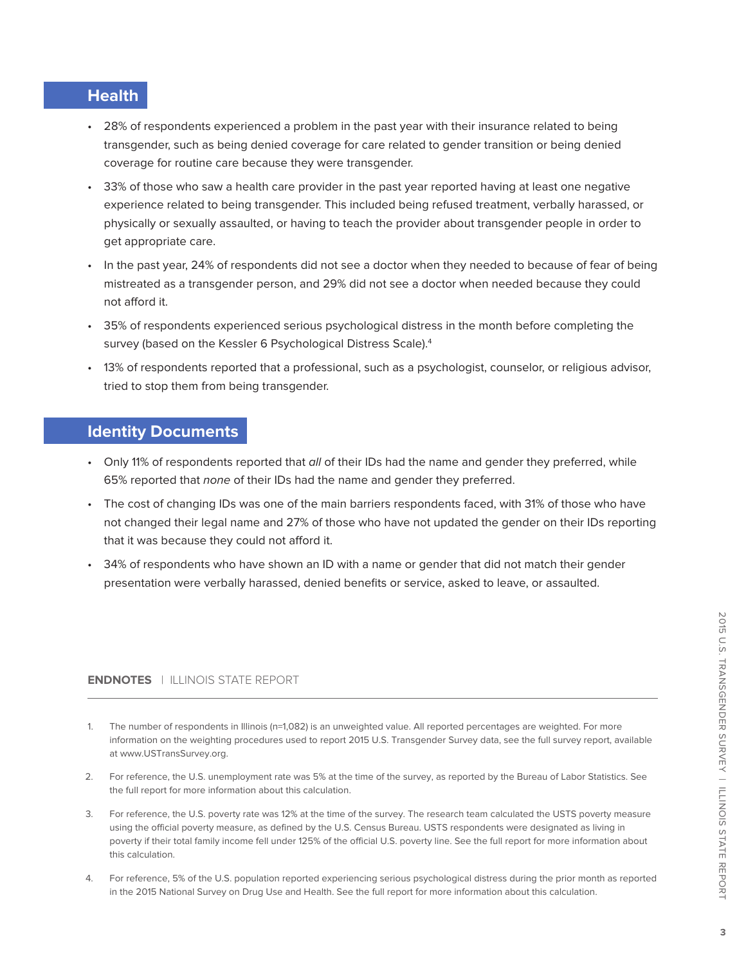# **Health**

- 28% of respondents experienced a problem in the past year with their insurance related to being transgender, such as being denied coverage for care related to gender transition or being denied coverage for routine care because they were transgender.
- 33% of those who saw a health care provider in the past year reported having at least one negative experience related to being transgender. This included being refused treatment, verbally harassed, or physically or sexually assaulted, or having to teach the provider about transgender people in order to get appropriate care.
- In the past year, 24% of respondents did not see a doctor when they needed to because of fear of being mistreated as a transgender person, and 29% did not see a doctor when needed because they could not afford it.
- 35% of respondents experienced serious psychological distress in the month before completing the survey (based on the Kessler 6 Psychological Distress Scale).<sup>4</sup>
- 13% of respondents reported that a professional, such as a psychologist, counselor, or religious advisor, tried to stop them from being transgender.

### **Identity Documents**

- Only 11% of respondents reported that all of their IDs had the name and gender they preferred, while 65% reported that none of their IDs had the name and gender they preferred.
- The cost of changing IDs was one of the main barriers respondents faced, with 31% of those who have not changed their legal name and 27% of those who have not updated the gender on their IDs reporting that it was because they could not afford it.
- 34% of respondents who have shown an ID with a name or gender that did not match their gender presentation were verbally harassed, denied benefits or service, asked to leave, or assaulted.

#### **ENDNOTES** | ILLINOIS STATE REPORT

- The number of respondents in Illinois (n=1,082) is an unweighted value. All reported percentages are weighted. For more information on the weighting procedures used to report 2015 U.S. Transgender Survey data, see the full survey report, available at www.USTransSurvey.org.
- 2. For reference, the U.S. unemployment rate was 5% at the time of the survey, as reported by the Bureau of Labor Statistics. See the full report for more information about this calculation.
- 3. For reference, the U.S. poverty rate was 12% at the time of the survey. The research team calculated the USTS poverty measure using the official poverty measure, as defined by the U.S. Census Bureau. USTS respondents were designated as living in poverty if their total family income fell under 125% of the official U.S. poverty line. See the full report for more information about this calculation.
- 4. For reference, 5% of the U.S. population reported experiencing serious psychological distress during the prior month as reported in the 2015 National Survey on Drug Use and Health. See the full report for more information about this calculation.